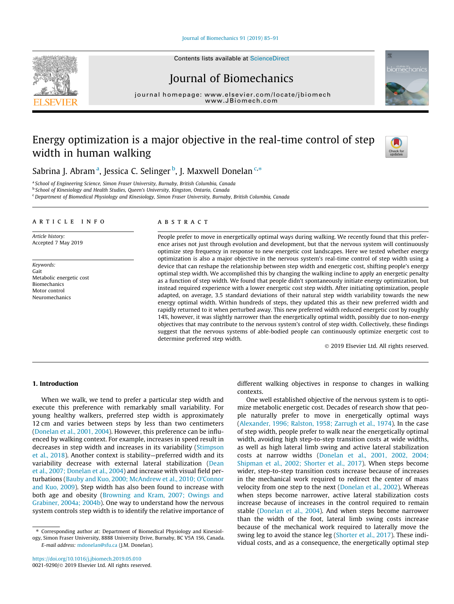[Journal of Biomechanics 91 \(2019\) 85–91](https://doi.org/10.1016/j.jbiomech.2019.05.010)

# Journal of Biomechanics

journal home[page:](http://www.elsevier.com/locate/jbiomech) [www.elsevier.com/lo](http://www.JBiomech.com)[cate/jbiomech](http://www.elsevier.com/locate/jbiomech)

## Energy optimization is a major objective in the real-time control of step width in human walking



iomechanic

Sabrina J. Abram<sup>a</sup>, Jessica C. Selinger <sup>b</sup>, J. Maxwell Donelan <sup>c,</sup>\*

<sup>a</sup> School of Engineering Science, Simon Fraser University, Burnaby, British Columbia, Canada

<sup>b</sup> School of Kinesiology and Health Studies, Queen's University, Kingston, Ontario, Canada

<sup>c</sup> Department of Biomedical Physiology and Kinesiology, Simon Fraser University, Burnaby, British Columbia, Canada

## article info

Article history: Accepted 7 May 2019

Keywords: Gait Metabolic energetic cost Biomechanics Motor control Neuromechanics

## **ABSTRACT**

People prefer to move in energetically optimal ways during walking. We recently found that this preference arises not just through evolution and development, but that the nervous system will continuously optimize step frequency in response to new energetic cost landscapes. Here we tested whether energy optimization is also a major objective in the nervous system's real-time control of step width using a device that can reshape the relationship between step width and energetic cost, shifting people's energy optimal step width. We accomplished this by changing the walking incline to apply an energetic penalty as a function of step width. We found that people didn't spontaneously initiate energy optimization, but instead required experience with a lower energetic cost step width. After initiating optimization, people adapted, on average, 3.5 standard deviations of their natural step width variability towards the new energy optimal width. Within hundreds of steps, they updated this as their new preferred width and rapidly returned to it when perturbed away. This new preferred width reduced energetic cost by roughly 14%, however, it was slightly narrower than the energetically optimal width, possibly due to non-energy objectives that may contribute to the nervous system's control of step width. Collectively, these findings suggest that the nervous systems of able-bodied people can continuously optimize energetic cost to determine preferred step width.

2019 Elsevier Ltd. All rights reserved.

#### 1. Introduction

When we walk, we tend to prefer a particular step width and execute this preference with remarkably small variability. For young healthy walkers, preferred step width is approximately 12 cm and varies between steps by less than two centimeters ([Donelan et al., 2001, 2004\)](#page-5-0). However, this preference can be influenced by walking context. For example, increases in speed result in decreases in step width and increases in its variability [\(Stimpson](#page-6-0) [et al., 2018](#page-6-0)). Another context is stability—preferred width and its variability decrease with external lateral stabilization [\(Dean](#page-5-0) [et al., 2007; Donelan et al., 2004\)](#page-5-0) and increase with visual field perturbations ([Bauby and Kuo, 2000; McAndrew et al., 2010; O'Connor](#page-5-0) [and Kuo, 2009](#page-5-0)). Step width has also been found to increase with both age and obesity ([Browning and Kram, 2007; Owings and](#page-5-0) [Grabiner, 2004a; 2004b\)](#page-5-0). One way to understand how the nervous system controls step width is to identify the relative importance of different walking objectives in response to changes in walking contexts.

One well established objective of the nervous system is to optimize metabolic energetic cost. Decades of research show that people naturally prefer to move in energetically optimal ways ([Alexander, 1996; Ralston, 1958; Zarrugh et al., 1974\)](#page-5-0). In the case of step width, people prefer to walk near the energetically optimal width, avoiding high step-to-step transition costs at wide widths, as well as high lateral limb swing and active lateral stabilization costs at narrow widths [\(Donelan et al., 2001, 2002, 2004;](#page-5-0) [Shipman et al., 2002; Shorter et al., 2017](#page-5-0)). When steps become wider, step-to-step transition costs increase because of increases in the mechanical work required to redirect the center of mass velocity from one step to the next [\(Donelan et al., 2002\)](#page-5-0). Whereas when steps become narrower, active lateral stabilization costs increase because of increases in the control required to remain stable ([Donelan et al., 2004\)](#page-5-0). And when steps become narrower than the width of the foot, lateral limb swing costs increase because of the mechanical work required to laterally move the swing leg to avoid the stance leg [\(Shorter et al., 2017](#page-6-0)). These individual costs, and as a consequence, the energetically optimal step



<sup>⇑</sup> Corresponding author at: Department of Biomedical Physiology and Kinesiology, Simon Fraser University, 8888 University Drive, Burnaby, BC V5A 1S6, Canada. E-mail address: [mdonelan@sfu.ca](mailto:mdonelan@sfu.ca) (J.M. Donelan).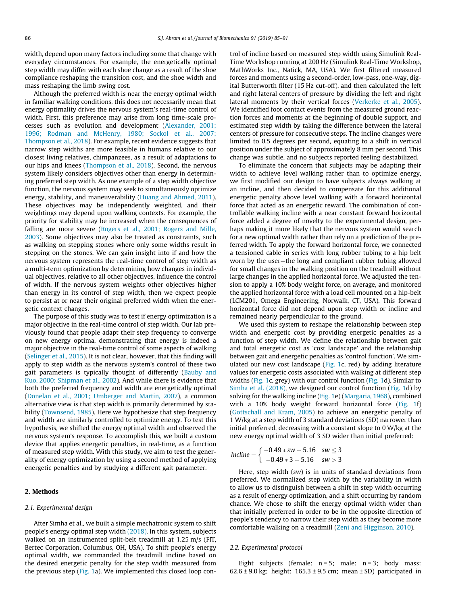width, depend upon many factors including some that change with everyday circumstances. For example, the energetically optimal step width may differ with each shoe change as a result of the shoe compliance reshaping the transition cost, and the shoe width and mass reshaping the limb swing cost.

Although the preferred width is near the energy optimal width in familiar walking conditions, this does not necessarily mean that energy optimality drives the nervous system's real-time control of width. First, this preference may arise from long time-scale processes such as evolution and development [\(Alexander, 2001;](#page-5-0) [1996; Rodman and McHenry, 1980; Sockol et al., 2007;](#page-5-0) [Thompson et al., 2018\)](#page-5-0). For example, recent evidence suggests that narrow step widths are more feasible in humans relative to our closest living relatives, chimpanzees, as a result of adaptations to our hips and knees ([Thompson et al., 2018](#page-6-0)). Second, the nervous system likely considers objectives other than energy in determining preferred step width. As one example of a step width objective function, the nervous system may seek to simultaneously optimize energy, stability, and maneuverability ([Huang and Ahmed, 2011\)](#page-5-0). These objectives may be independently weighted, and their weightings may depend upon walking contexts. For example, the priority for stability may be increased when the consequences of falling are more severe [\(Rogers et al., 2001; Rogers and Mille,](#page-6-0) [2003\)](#page-6-0). Some objectives may also be treated as constraints, such as walking on stepping stones where only some widths result in stepping on the stones. We can gain insight into if and how the nervous system represents the real-time control of step width as a multi-term optimization by determining how changes in individual objectives, relative to all other objectives, influence the control of width. If the nervous system weights other objectives higher than energy in its control of step width, then we expect people to persist at or near their original preferred width when the energetic context changes.

The purpose of this study was to test if energy optimization is a major objective in the real-time control of step width. Our lab previously found that people adapt their step frequency to converge on new energy optima, demonstrating that energy is indeed a major objective in the real-time control of some aspects of walking ([Selinger et al., 2015\)](#page-6-0). It is not clear, however, that this finding will apply to step width as the nervous system's control of these two gait parameters is typically thought of differently ([Bauby and](#page-5-0) [Kuo, 2000; Shipman et al., 2002](#page-5-0)). And while there is evidence that both the preferred frequency and width are energetically optimal ([Donelan et al., 2001; Umberger and Martin, 2007](#page-5-0)), a common alternative view is that step width is primarily determined by stability [\(Townsend, 1985](#page-6-0)). Here we hypothesize that step frequency and width are similarly controlled to optimize energy. To test this hypothesis, we shifted the energy optimal width and observed the nervous system's response. To accomplish this, we built a custom device that applies energetic penalties, in real-time, as a function of measured step width. With this study, we aim to test the generality of energy optimization by using a second method of applying energetic penalties and by studying a different gait parameter.

## 2. Methods

#### 2.1. Experimental design

After Simha et al., we built a simple mechatronic system to shift people's energy optimal step width [\(2018\)](#page-6-0). In this system, subjects walked on an instrumented split-belt treadmill at 1.25 m/s (FIT, Bertec Corporation, Columbus, OH, USA). To shift people's energy optimal width, we commanded the treadmill incline based on the desired energetic penalty for the step width measured from the previous step [\(Fig. 1a](#page-2-0)). We implemented this closed loop con-

trol of incline based on measured step width using Simulink Real-Time Workshop running at 200 Hz (Simulink Real-Time Workshop, MathWorks Inc., Natick, MA, USA). We first filtered measured forces and moments using a second-order, low-pass, one-way, digital Butterworth filter (15 Hz cut-off), and then calculated the left and right lateral centers of pressure by dividing the left and right lateral moments by their vertical forces ([Verkerke et al., 2005\)](#page-6-0). We identified foot contact events from the measured ground reaction forces and moments at the beginning of double support, and estimated step width by taking the difference between the lateral centers of pressure for consecutive steps. The incline changes were limited to 0.5 degrees per second, equating to a shift in vertical position under the subject of approximately 8 mm per second. This change was subtle, and no subjects reported feeling destabilized.

To eliminate the concern that subjects may be adapting their width to achieve level walking rather than to optimize energy, we first modified our design to have subjects always walking at an incline, and then decided to compensate for this additional energetic penalty above level walking with a forward horizontal force that acted as an energetic reward. The combination of controllable walking incline with a near constant forward horizontal force added a degree of novelty to the experimental design, perhaps making it more likely that the nervous system would search for a new optimal width rather than rely on a prediction of the preferred width. To apply the forward horizontal force, we connected a tensioned cable in series with long rubber tubing to a hip belt worn by the user—the long and compliant rubber tubing allowed for small changes in the walking position on the treadmill without large changes in the applied horizontal force. We adjusted the tension to apply a 10% body weight force, on average, and monitored the applied horizontal force with a load cell mounted on a hip-belt (LCM201, Omega Engineering, Norwalk, CT, USA). This forward horizontal force did not depend upon step width or incline and remained nearly perpendicular to the ground.

We used this system to reshape the relationship between step width and energetic cost by providing energetic penalties as a function of step width. We define the relationship between gait and total energetic cost as 'cost landscape' and the relationship between gait and energetic penalties as 'control function'. We simulated our new cost landscape ([Fig. 1c](#page-2-0), red) by adding literature values for energetic costs associated with walking at different step widths [\(Fig. 1](#page-2-0)c, grey) with our control function ([Fig. 1d](#page-2-0)). Similar to [Simha et al. \(2018\),](#page-6-0) we designed our control function [\(Fig. 1d](#page-2-0)) by solving for the walking incline ([Fig. 1e](#page-2-0)) ([Margaria, 1968\)](#page-5-0), combined with a 10% body weight forward horizontal force [\(Fig. 1](#page-2-0)f) ([Gottschall and Kram, 2005](#page-5-0)) to achieve an energetic penalty of 1 W/kg at a step width of 3 standard deviations (SD) narrower than initial preferred, decreasing with a constant slope to 0 W/kg at the new energy optimal width of 3 SD wider than initial preferred:

$$
Incline = \begin{cases} -0.49 * sw + 5.16 & sw \le 3 \\ -0.49 * 3 + 5.16 & sw > 3 \end{cases}
$$

Here, step width (sw) is in units of standard deviations from preferred. We normalized step width by the variability in width to allow us to distinguish between a shift in step width occurring as a result of energy optimization, and a shift occurring by random chance. We chose to shift the energy optimal width wider than that initially preferred in order to be in the opposite direction of people's tendency to narrow their step width as they become more comfortable walking on a treadmill [\(Zeni and Higginson, 2010](#page-6-0)).

#### 2.2. Experimental protocol

Eight subjects (female:  $n = 5$ ; male:  $n = 3$ ; body mass:  $62.6 \pm 9.0$  kg; height:  $165.3 \pm 9.5$  cm; mean  $\pm$  SD) participated in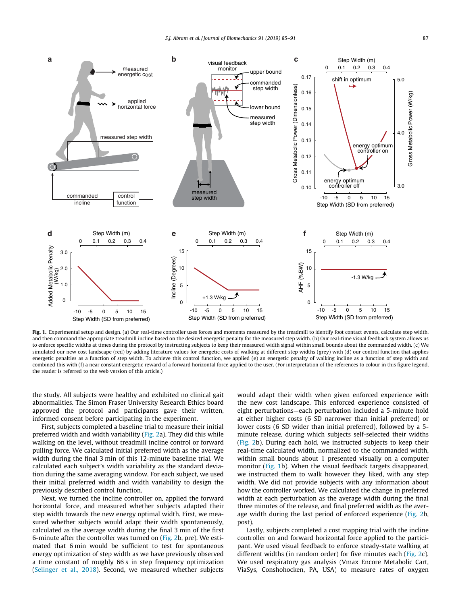<span id="page-2-0"></span>

Fig. 1. Experimental setup and design. (a) Our real-time controller uses forces and moments measured by the treadmill to identify foot contact events, calculate step width, and then command the appropriate treadmill incline based on the desired energetic penalty for the measured step width. (b) Our real-time visual feedback system allows us to enforce specific widths at times during the protocol by instructing subjects to keep their measured width signal within small bounds about the commanded width. (c) We simulated our new cost landscape (red) by adding literature values for energetic costs of walking at different step widths (grey) with (d) our control function that applies energetic penalties as a function of step width. To achieve this control function, we applied (e) an energetic penalty of walking incline as a function of step width and combined this with (f) a near constant energetic reward of a forward horizontal force applied to the user. (For interpretation of the references to colour in this figure legend, the reader is referred to the web version of this article.)

the study. All subjects were healthy and exhibited no clinical gait abnormalities. The Simon Fraser University Research Ethics board approved the protocol and participants gave their written, informed consent before participating in the experiment.

First, subjects completed a baseline trial to measure their initial preferred width and width variability [\(Fig. 2](#page-3-0)a). They did this while walking on the level, without treadmill incline control or forward pulling force. We calculated initial preferred width as the average width during the final 3 min of this 12-minute baseline trial. We calculated each subject's width variability as the standard deviation during the same averaging window. For each subject, we used their initial preferred width and width variability to design the previously described control function.

Next, we turned the incline controller on, applied the forward horizontal force, and measured whether subjects adapted their step width towards the new energy optimal width. First, we measured whether subjects would adapt their width spontaneously, calculated as the average width during the final 3 min of the first 6-minute after the controller was turned on [\(Fig. 2](#page-3-0)b, pre). We estimated that 6 min would be sufficient to test for spontaneous energy optimization of step width as we have previously observed a time constant of roughly 66 s in step frequency optimization ([Selinger et al., 2018](#page-6-0)). Second, we measured whether subjects would adapt their width when given enforced experience with the new cost landscape. This enforced experience consisted of eight perturbations—each perturbation included a 5-minute hold at either higher costs (6 SD narrower than initial preferred) or lower costs (6 SD wider than initial preferred), followed by a 5 minute release, during which subjects self-selected their widths ([Fig. 2b](#page-3-0)). During each hold, we instructed subjects to keep their real-time calculated width, normalized to the commanded width, within small bounds about 1 presented visually on a computer monitor (Fig. 1b). When the visual feedback targets disappeared, we instructed them to walk however they liked, with any step width. We did not provide subjects with any information about how the controller worked. We calculated the change in preferred width at each perturbation as the average width during the final three minutes of the release, and final preferred width as the average width during the last period of enforced experience ([Fig. 2b](#page-3-0), post).

Lastly, subjects completed a cost mapping trial with the incline controller on and forward horizontal force applied to the participant. We used visual feedback to enforce steady-state walking at different widths (in random order) for five minutes each [\(Fig. 2c](#page-3-0)). We used respiratory gas analysis (Vmax Encore Metabolic Cart, ViaSys, Conshohocken, PA, USA) to measure rates of oxygen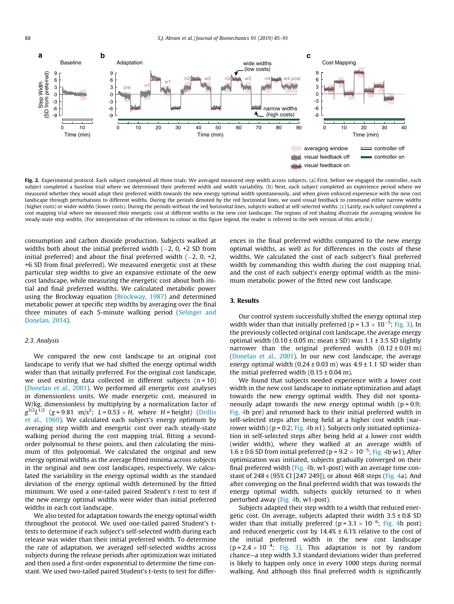<span id="page-3-0"></span>

Fig. 2. Experimental protocol. Each subject completed all three trials. We averaged measured step width across subjects. (a) First, before we engaged the controller, each subject completed a baseline trial where we determined their preferred width and width variability. (b) Next, each subject completed an experience period where we measured whether they would adapt their preferred width towards the new energy optimal width spontaneously, and when given enforced experience with the new cost landscape through perturbations to different widths. During the periods denoted by the red horizontal lines, we used visual feedback to command either narrow widths (higher costs) or wider widths (lower costs). During the periods without the red horizontal lines, subjects walked at self-selected widths. (c) Lastly, each subject completed a cost mapping trial where we measured their energetic cost at different widths in the new cost landscape. The regions of red shading illustrate the averaging window for steady-state step widths. (For interpretation of the references to colour in this figure legend, the reader is referred to the web version of this article.)

consumption and carbon dioxide production. Subjects walked at widths both about the initial preferred width  $(-2, 0, +2,$  SD from initial preferred) and about the final preferred width  $(-2, 0, +2,$ +6 SD from final preferred). We measured energetic cost at these particular step widths to give an expansive estimate of the new cost landscape, while measuring the energetic cost about both initial and final preferred widths. We calculated metabolic power using the Brockway equation ([Brockway, 1987](#page-5-0)) and determined metabolic power at specific step widths by averaging over the final three minutes of each 5-minute walking period ([Selinger and](#page-6-0) [Donelan, 2014\)](#page-6-0).

## 2.3. Analysis

We compared the new cost landscape to an original cost landscape to verify that we had shifted the energy optimal width wider than that initially preferred. For the original cost landscape, we used existing data collected in different subjects  $(n = 10)$ ([Donelan et al., 2001](#page-5-0)). We performed all energetic cost analyses in dimensionless units. We made energetic cost, measured in W/kg, dimensionless by multiplying by a normalization factor of  $g^{3/2}L^{1/2}$  (g = 9.81 m/s<sup>2</sup>; L = 0.53 × H, where H = height) [\(Drillis](#page-5-0) [et al., 1969](#page-5-0)). We calculated each subject's energy optimum by averaging step width and energetic cost over each steady-state walking period during the cost mapping trial, fitting a secondorder polynomial to these points, and then calculating the minimum of this polynomial. We calculated the original and new energy optimal widths as the average fitted minima across subjects in the original and new cost landscapes, respectively. We calculated the variability in the energy optimal width as the standard deviation of the energy optimal width determined by the fitted minimum. We used a one-tailed paired Student's t-test to test if the new energy optimal widths were wider than initial preferred widths in each cost landscape.

We also tested for adaptation towards the energy optimal width throughout the protocol. We used one-tailed paired Student's ttests to determine if each subject's self-selected width during each release was wider than their initial preferred width. To determine the rate of adaptation, we averaged self-selected widths across subjects during the release periods after optimization was initiated and then used a first-order exponential to determine the time constant. We used two-tailed paired Student's t-tests to test for differences in the final preferred widths compared to the new energy optimal widths, as well as for differences in the costs of these widths. We calculated the cost of each subject's final preferred width by commanding this width during the cost mapping trial, and the cost of each subject's energy optimal width as the minimum metabolic power of the fitted new cost landscape.

## 3. Results

Our control system successfully shifted the energy optimal step width wider than that initially preferred ( $p = 1.3 \times 10^{-5}$ ; [Fig. 3\)](#page-4-0). In the previously collected original cost landscape, the average energy optimal width  $(0.10 \pm 0.05 \text{ m})$ ; mean  $\pm$  SD) was 1.1  $\pm$  3.5 SD slightly narrower than the original preferred width  $(0.12 \pm 0.01 \text{ m})$ ([Donelan et al., 2001\)](#page-5-0). In our new cost landscape, the average energy optimal width  $(0.24 \pm 0.03 \text{ m})$  was  $4.9 \pm 1.1$  SD wider than the initial preferred width  $(0.15 \pm 0.04 \text{ m})$ .

We found that subjects needed experience with a lower cost width in the new cost landscape to initiate optimization and adapt towards the new energy optimal width. They did not spontaneously adapt towards the new energy optimal width ( $p = 0.9$ ; [Fig. 4b](#page-4-0) pre) and returned back to their initial preferred width in self-selected steps after being held at a higher cost width (narrower width) ( $p = 0.2$ ; [Fig. 4](#page-4-0)b n1). Subjects only initiated optimization in self-selected steps after being held at a lower cost width (wider width), where they walked at an average width of  $1.6 \pm 0.6$  SD from initial preferred (p =  $9.2 \times 10^{-5}$ ; [Fig. 4b](#page-4-0) w1). After optimization was initiated, subjects gradually converged on their final preferred width ([Fig. 4b](#page-4-0), w1-post) with an average time constant of 248 s (95% CI [247 249]), or about 468 steps ([Fig. 4a](#page-4-0)). And after converging on the final preferred width that was towards the energy optimal width, subjects quickly returned to it when perturbed away ([Fig. 4](#page-4-0)b, w1-post).

Subjects adapted their step width to a width that reduced energetic cost. On average, subjects adapted their width  $3.5 \pm 0.8$  SD wider than that initially preferred ( $p = 3.1 \times 10^{-6}$ ; [Fig. 4b](#page-4-0) post) and reduced energetic cost by  $14.4% \pm 6.1%$  relative to the cost of the initial preferred width in the new cost landscape  $(p = 2.4 \times 10^{-4};$  [Fig. 3](#page-4-0)). This adaptation is not by random chance—a step width 3.3 standard deviations wider than preferred is likely to happen only once in every 1000 steps during normal walking. And although this final preferred width is significantly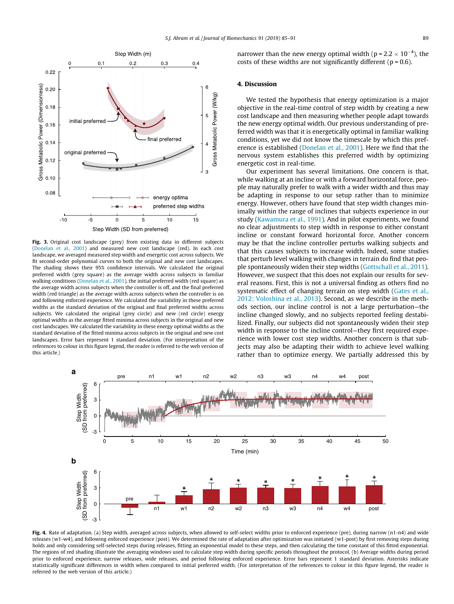<span id="page-4-0"></span>

Fig. 3. Original cost landscape (grey) from existing data in different subjects ([Donelan et al., 2001](#page-5-0)) and measured new cost landscape (red). In each cost landscape, we averaged measured step width and energetic cost across subjects. We fit second-order polynomial curves to both the original and new cost landscapes. The shading shows their 95% confidence intervals. We calculated the original preferred width (grey square) as the average width across subjects in familiar walking conditions ([Donelan et al., 2001](#page-5-0)), the initial preferred width (red square) as the average width across subjects when the controller is off, and the final preferred width (red triangle) as the average width across subjects when the controller is on and following enforced experience. We calculated the variability in these preferred widths as the standard deviation of the original and final preferred widths across subjects. We calculated the original (grey circle) and new (red circle) energy optimal widths as the average fitted minima across subjects in the original and new cost landscapes. We calculated the variability in these energy optimal widths as the standard deviation of the fitted minima across subjects in the original and new cost landscapes. Error bars represent 1 standard deviation. (For interpretation of the references to colour in this figure legend, the reader is referred to the web version of this article.)

narrower than the new energy optimal width ( $p = 2.2 \times 10^{-4}$ ), the costs of these widths are not significantly different ( $p = 0.6$ ).

#### 4. Discussion

We tested the hypothesis that energy optimization is a major objective in the real-time control of step width by creating a new cost landscape and then measuring whether people adapt towards the new energy optimal width. Our previous understanding of preferred width was that it is energetically optimal in familiar walking conditions, yet we did not know the timescale by which this preference is established [\(Donelan et al., 2001](#page-5-0)). Here we find that the nervous system establishes this preferred width by optimizing energetic cost in real-time.

Our experiment has several limitations. One concern is that, while walking at an incline or with a forward horizontal force, people may naturally prefer to walk with a wider width and thus may be adapting in response to our setup rather than to minimize energy. However, others have found that step width changes minimally within the range of inclines that subjects experience in our study ([Kawamura et al., 1991](#page-5-0)). And in pilot experiments, we found no clear adjustments to step width in response to either constant incline or constant forward horizontal force. Another concern may be that the incline controller perturbs walking subjects and that this causes subjects to increase width. Indeed, some studies that perturb level walking with changes in terrain do find that people spontaneously widen their step widths [\(Gottschall et al., 2011\)](#page-5-0). However, we suspect that this does not explain our results for several reasons. First, this is not a universal finding as others find no systematic effect of changing terrain on step width [\(Gates et al.,](#page-5-0) [2012; Voloshina et al., 2013\)](#page-5-0). Second, as we describe in the methods section, our incline control is not a large perturbation—the incline changed slowly, and no subjects reported feeling destabilized. Finally, our subjects did not spontaneously widen their step width in response to the incline control—they first required experience with lower cost step widths. Another concern is that subjects may also be adapting their width to achieve level walking rather than to optimize energy. We partially addressed this by



Fig. 4. Rate of adaptation. (a) Step width, averaged across subjects, when allowed to self-select widths prior to enforced experience (pre), during narrow (n1-n4) and wide releases (w1-w4), and following enforced experience (post). We determined the rate of adaptation after optimization was initiated (w1-post) by first removing steps during holds and only considering self-selected steps during releases, fitting an exponential model to these steps, and then calculating the time constant of this fitted exponential. The regions of red shading illustrate the averaging windows used to calculate step width during specific periods throughout the protocol. (b) Average widths during period prior to enforced experience, narrow releases, wide releases, and period following enforced experience. Error bars represent 1 standard deviation. Asterisks indicate statistically significant differences in width when compared to initial preferred width. (For interpretation of the references to colour in this figure legend, the reader is referred to the web version of this article.)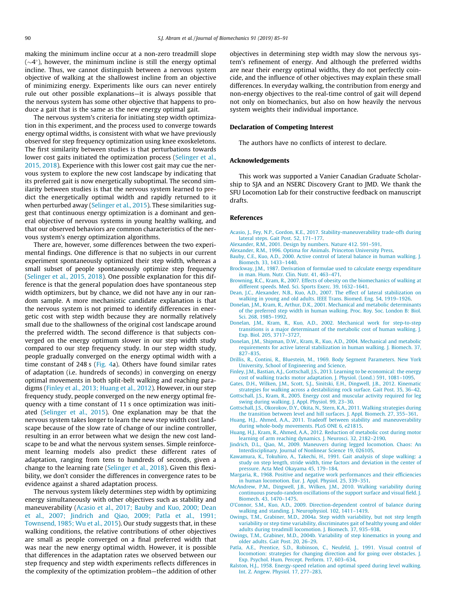<span id="page-5-0"></span>making the minimum incline occur at a non-zero treadmill slope  $(\sim4^{\circ})$ , however, the minimum incline is still the energy optimal incline. Thus, we cannot distinguish between a nervous system objective of walking at the shallowest incline from an objective of minimizing energy. Experiments like ours can never entirely rule out other possible explanations—it is always possible that the nervous system has some other objective that happens to produce a gait that is the same as the new energy optimal gait.

The nervous system's criteria for initiating step width optimization in this experiment, and the process used to converge towards energy optimal widths, is consistent with what we have previously observed for step frequency optimization using knee exoskeletons. The first similarity between studies is that perturbations towards lower cost gaits initiated the optimization process [\(Selinger et al.,](#page-6-0) [2015, 2018\)](#page-6-0). Experience with this lower cost gait may cue the nervous system to explore the new cost landscape by indicating that its preferred gait is now energetically suboptimal. The second similarity between studies is that the nervous system learned to predict the energetically optimal width and rapidly returned to it when perturbed away [\(Selinger et al., 2015](#page-6-0)). These similarities suggest that continuous energy optimization is a dominant and general objective of nervous systems in young healthy walking, and that our observed behaviors are common characteristics of the nervous system's energy optimization algorithms.

There are, however, some differences between the two experimental findings. One difference is that no subjects in our current experiment spontaneously optimized their step width, whereas a small subset of people spontaneously optimize step frequency ([Selinger et al., 2015, 2018](#page-6-0)). One possible explanation for this difference is that the general population does have spontaneous step width optimizers, but by chance, we did not have any in our random sample. A more mechanistic candidate explanation is that the nervous system is not primed to identify differences in energetic cost with step width because they are normally relatively small due to the shallowness of the original cost landscape around the preferred width. The second difference is that subjects converged on the energy optimum slower in our step width study compared to our step frequency study. In our step width study, people gradually converged on the energy optimal width with a time constant of 248 s [\(Fig. 4a](#page-4-0)). Others have found similar rates of adaptation (i.e. hundreds of seconds) in converging on energy optimal movements in both split-belt walking and reaching paradigms (Finley et al., 2013; Huang et al., 2012). However, in our step frequency study, people converged on the new energy optimal frequency with a time constant of 11 s once optimization was initiated ([Selinger et al., 2015](#page-6-0)). One explanation may be that the nervous system takes longer to learn the new step width cost landscape because of the slow rate of change of our incline controller, resulting in an error between what we design the new cost landscape to be and what the nervous system senses. Simple reinforcement learning models also predict these different rates of adaptation, ranging from tens to hundreds of seconds, given a change to the learning rate ([Selinger et al., 2018\)](#page-6-0). Given this flexibility, we don't consider the differences in convergence rates to be evidence against a shared adaptation process.

The nervous system likely determines step width by optimizing energy simultaneously with other objectives such as stability and maneuverability (Acasio et al., 2017; Bauby and Kuo, 2000; Dean et al., 2007; Jindrich and Qiao, 2009; Patla et al., 1991; Townsend, 1985; Wu et al., 2015). Our study suggests that, in these walking conditions, the relative contributions of other objectives are small as people converged on a final preferred width that was near the new energy optimal width. However, it is possible that differences in the adaptation rates we observed between our step frequency and step width experiments reflects differences in the complexity of the optimization problem—the addition of other objectives in determining step width may slow the nervous system's refinement of energy. And although the preferred widths are near their energy optimal widths, they do not perfectly coincide, and the influence of other objectives may explain these small differences. In everyday walking, the contribution from energy and non-energy objectives to the real-time control of gait will depend not only on biomechanics, but also on how heavily the nervous system weights their individual importance.

## Declaration of Competing Interest

The authors have no conflicts of interest to declare.

#### Acknowledgements

This work was supported a Vanier Canadian Graduate Scholarship to SJA and an NSERC Discovery Grant to JMD. We thank the SFU Locomotion Lab for their constructive feedback on manuscript drafts.

#### References

- [Acasio, J., Fey, N.P., Gordon, K.E., 2017. Stability-maneuverability trade-offs during](http://refhub.elsevier.com/S0021-9290(19)30342-2/h0005) [lateral steps. Gait Post. 52, 171–177](http://refhub.elsevier.com/S0021-9290(19)30342-2/h0005).
- [Alexander, R.M., 2001. Design by numbers. Nature 412. 591–591](http://refhub.elsevier.com/S0021-9290(19)30342-2/h0010).
- [Alexander, R.M., 1996. Optima for Animals. Princeton University Press](http://refhub.elsevier.com/S0021-9290(19)30342-2/h0015).
- [Bauby, C.E., Kuo, A.D., 2000. Active control of lateral balance in human walking. J.](http://refhub.elsevier.com/S0021-9290(19)30342-2/h0020) [Biomech. 33, 1433–1440](http://refhub.elsevier.com/S0021-9290(19)30342-2/h0020).
- [Brockway, J.M., 1987. Derivation of formulae used to calculate energy expenditure](http://refhub.elsevier.com/S0021-9290(19)30342-2/h0025) [in man. Hum. Nutr. Clin. Nutr. 41, 463–471](http://refhub.elsevier.com/S0021-9290(19)30342-2/h0025).
- [Browning, R.C., Kram, R., 2007. Effects of obesity on the biomechanics of walking at](http://refhub.elsevier.com/S0021-9290(19)30342-2/h0030)
- [different speeds. Med. Sci. Sports Exerc. 39, 1632–1641](http://refhub.elsevier.com/S0021-9290(19)30342-2/h0030). [Dean, J.C., Alexander, N.B., Kuo, A.D., 2007. The effect of lateral stabilization on](http://refhub.elsevier.com/S0021-9290(19)30342-2/h0035) [walking in young and old adults. IEEE Trans. Biomed. Eng. 54, 1919–1926.](http://refhub.elsevier.com/S0021-9290(19)30342-2/h0035)
- [Donelan, J.M., Kram, R., Arthur, D.K., 2001. Mechanical and metabolic determinants](http://refhub.elsevier.com/S0021-9290(19)30342-2/h0040) [of the preferred step width in human walking. Proc. Roy. Soc. London B: Biol.](http://refhub.elsevier.com/S0021-9290(19)30342-2/h0040) [Sci. 268, 1985–1992](http://refhub.elsevier.com/S0021-9290(19)30342-2/h0040).
- [Donelan, J.M., Kram, R., Kuo, A.D., 2002. Mechanical work for step-to-step](http://refhub.elsevier.com/S0021-9290(19)30342-2/h0045) [transitions is a major determinant of the metabolic cost of human walking. J.](http://refhub.elsevier.com/S0021-9290(19)30342-2/h0045) [Exp. Biol. 205, 3717–3727](http://refhub.elsevier.com/S0021-9290(19)30342-2/h0045).
- [Donelan, J.M., Shipman, D.W., Kram, R., Kuo, A.D., 2004. Mechanical and metabolic](http://refhub.elsevier.com/S0021-9290(19)30342-2/h0050) [requirements for active lateral stabilization in human walking. J. Biomech. 37,](http://refhub.elsevier.com/S0021-9290(19)30342-2/h0050) [827–835](http://refhub.elsevier.com/S0021-9290(19)30342-2/h0050).
- [Drillis, R., Contini, R., Bluestein, M., 1969. Body Segment Parameters. New York](http://refhub.elsevier.com/S0021-9290(19)30342-2/h0055) [University, School of Engineering and Science](http://refhub.elsevier.com/S0021-9290(19)30342-2/h0055).
- [Finley, J.M., Bastian, A.J., Gottschall, J.S., 2013. Learning to be economical: the energy](http://refhub.elsevier.com/S0021-9290(19)30342-2/h0060) [cost of walking tracks motor adaptation. J. Physiol. \(Lond.\) 591, 1081–1095](http://refhub.elsevier.com/S0021-9290(19)30342-2/h0060).
- [Gates, D.H., Wilken, J.M., Scott, S.J., Sinitski, E.H., Dingwell, J.B., 2012. Kinematic](http://refhub.elsevier.com/S0021-9290(19)30342-2/h0065) [strategies for walking across a destabilizing rock surface. Gait Post. 35, 36–42.](http://refhub.elsevier.com/S0021-9290(19)30342-2/h0065) [Gottschall, J.S., Kram, R., 2005. Energy cost and muscular activity required for leg](http://refhub.elsevier.com/S0021-9290(19)30342-2/h0070)
- [swing during walking. J. Appl. Physiol. 99, 23–30.](http://refhub.elsevier.com/S0021-9290(19)30342-2/h0070) [Gottschall, J.S., Okorokov, D.Y., Okita, N., Stern, K.A., 2011. Walking strategies during](http://refhub.elsevier.com/S0021-9290(19)30342-2/h0075)
- [the transition between level and hill surfaces. J. Appl. Biomech. 27, 355–361.](http://refhub.elsevier.com/S0021-9290(19)30342-2/h0075) [Huang, H.J., Ahmed, A.A., 2011. Tradeoff between stability and maneuverability](http://refhub.elsevier.com/S0021-9290(19)30342-2/h0080)
- [during whole-body movements. PLoS ONE 6, e21815.](http://refhub.elsevier.com/S0021-9290(19)30342-2/h0080)
- [Huang, H.J., Kram, R., Ahmed, A.A., 2012. Reduction of metabolic cost during motor](http://refhub.elsevier.com/S0021-9290(19)30342-2/h0085) [learning of arm reaching dynamics. J. Neurosci. 32, 2182–2190](http://refhub.elsevier.com/S0021-9290(19)30342-2/h0085).
- [Jindrich, D.L., Qiao, M., 2009. Maneuvers during legged locomotion. Chaos: An](http://refhub.elsevier.com/S0021-9290(19)30342-2/h0090) [Interdisciplinary. Journal of Nonlinear Science 19, 026105.](http://refhub.elsevier.com/S0021-9290(19)30342-2/h0090)
- [Kawamura, K., Tokuhiro, A., Takechi, H., 1991. Gait analysis of slope walking: a](http://refhub.elsevier.com/S0021-9290(19)30342-2/h0095) [study on step length, stride width, time factors and deviation in the center of](http://refhub.elsevier.com/S0021-9290(19)30342-2/h0095) [pressure. Acta Med Okayama 45, 179–184](http://refhub.elsevier.com/S0021-9290(19)30342-2/h0095).
- [Margaria, R., 1968. Positive and negative work performances and their efficiencies](http://refhub.elsevier.com/S0021-9290(19)30342-2/h0100) [in human locomotion. Eur. J. Appl. Physiol. 25, 339–351](http://refhub.elsevier.com/S0021-9290(19)30342-2/h0100).
- [McAndrew, P.M., Dingwell, J.B., Wilken, J.M., 2010. Walking variability during](http://refhub.elsevier.com/S0021-9290(19)30342-2/h0105) [continuous pseudo-random oscillations of the support surface and visual field. J.](http://refhub.elsevier.com/S0021-9290(19)30342-2/h0105) [Biomech. 43, 1470–1475](http://refhub.elsevier.com/S0021-9290(19)30342-2/h0105).
- [O'Connor, S.M., Kuo, A.D., 2009. Direction-dependent control of balance during](http://refhub.elsevier.com/S0021-9290(19)30342-2/h0110) [walking and standing. J. Neurophysiol. 102, 1411–1419](http://refhub.elsevier.com/S0021-9290(19)30342-2/h0110).
- [Owings, T.M., Grabiner, M.D., 2004a. Step width variability, but not step length](http://refhub.elsevier.com/S0021-9290(19)30342-2/h0115) [variability or step time variability, discriminates gait of healthy young and older](http://refhub.elsevier.com/S0021-9290(19)30342-2/h0115) [adults during treadmill locomotion. J. Biomech. 37, 935–938.](http://refhub.elsevier.com/S0021-9290(19)30342-2/h0115)
- [Owings, T.M., Grabiner, M.D., 2004b. Variability of step kinematics in young and](http://refhub.elsevier.com/S0021-9290(19)30342-2/h0120) [older adults. Gait Post. 20, 26–29.](http://refhub.elsevier.com/S0021-9290(19)30342-2/h0120)
- [Patla, A.E., Prentice, S.D., Robinson, C., Neufeld, J., 1991. Visual control of](http://refhub.elsevier.com/S0021-9290(19)30342-2/h0125) [locomotion: strategies for changing direction and for going over obstacles. J.](http://refhub.elsevier.com/S0021-9290(19)30342-2/h0125) [Exp. Psychol. Hum. Percept. Perform. 17, 603–634](http://refhub.elsevier.com/S0021-9290(19)30342-2/h0125).
- [Ralston, H.J., 1958. Energy-speed relation and optimal speed during level walking.](http://refhub.elsevier.com/S0021-9290(19)30342-2/h0130) [Int. Z. Angew. Physiol. 17, 277–283](http://refhub.elsevier.com/S0021-9290(19)30342-2/h0130).